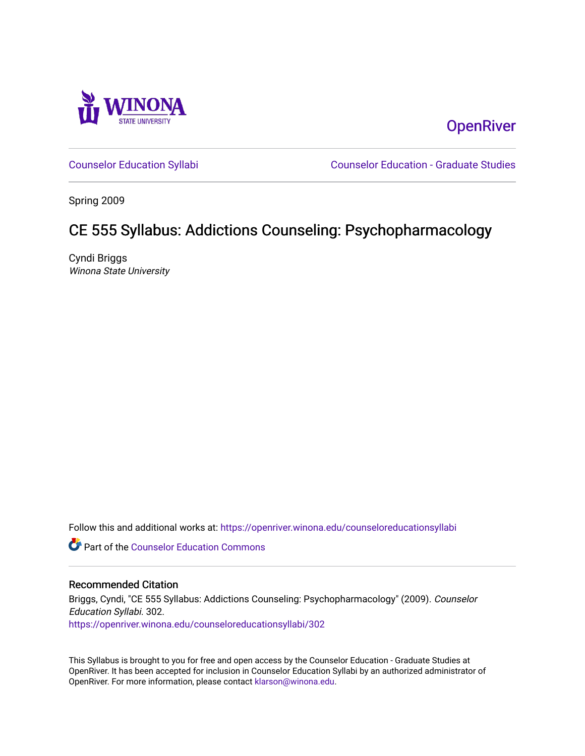

**OpenRiver** 

[Counselor Education Syllabi](https://openriver.winona.edu/counseloreducationsyllabi) [Counselor Education - Graduate Studies](https://openriver.winona.edu/counseloreducation) 

Spring 2009

# CE 555 Syllabus: Addictions Counseling: Psychopharmacology

Cyndi Briggs Winona State University

Follow this and additional works at: [https://openriver.winona.edu/counseloreducationsyllabi](https://openriver.winona.edu/counseloreducationsyllabi?utm_source=openriver.winona.edu%2Fcounseloreducationsyllabi%2F302&utm_medium=PDF&utm_campaign=PDFCoverPages)

Part of the [Counselor Education Commons](http://network.bepress.com/hgg/discipline/1278?utm_source=openriver.winona.edu%2Fcounseloreducationsyllabi%2F302&utm_medium=PDF&utm_campaign=PDFCoverPages) 

#### Recommended Citation

Briggs, Cyndi, "CE 555 Syllabus: Addictions Counseling: Psychopharmacology" (2009). Counselor Education Syllabi. 302. [https://openriver.winona.edu/counseloreducationsyllabi/302](https://openriver.winona.edu/counseloreducationsyllabi/302?utm_source=openriver.winona.edu%2Fcounseloreducationsyllabi%2F302&utm_medium=PDF&utm_campaign=PDFCoverPages)

This Syllabus is brought to you for free and open access by the Counselor Education - Graduate Studies at OpenRiver. It has been accepted for inclusion in Counselor Education Syllabi by an authorized administrator of OpenRiver. For more information, please contact [klarson@winona.edu](mailto:klarson@winona.edu).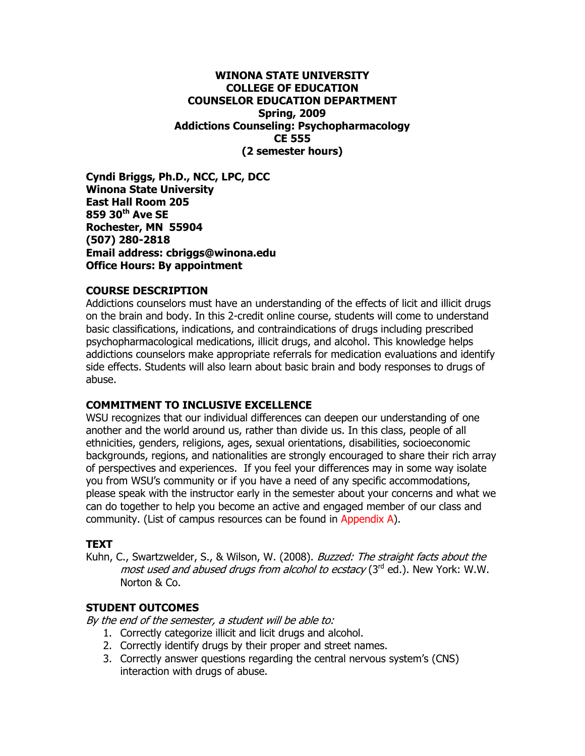#### **WINONA STATE UNIVERSITY COLLEGE OF EDUCATION COUNSELOR EDUCATION DEPARTMENT Spring, 2009 Addictions Counseling: Psychopharmacology CE 555 (2 semester hours)**

**Cyndi Briggs, Ph.D., NCC, LPC, DCC Winona State University East Hall Room 205 859 30th Ave SE Rochester, MN 55904 (507) 280-2818 Email address: cbriggs@winona.edu Office Hours: By appointment**

#### **COURSE DESCRIPTION**

Addictions counselors must have an understanding of the effects of licit and illicit drugs on the brain and body. In this 2-credit online course, students will come to understand basic classifications, indications, and contraindications of drugs including prescribed psychopharmacological medications, illicit drugs, and alcohol. This knowledge helps addictions counselors make appropriate referrals for medication evaluations and identify side effects. Students will also learn about basic brain and body responses to drugs of abuse.

#### **COMMITMENT TO INCLUSIVE EXCELLENCE**

WSU recognizes that our individual differences can deepen our understanding of one another and the world around us, rather than divide us. In this class, people of all ethnicities, genders, religions, ages, sexual orientations, disabilities, socioeconomic backgrounds, regions, and nationalities are strongly encouraged to share their rich array of perspectives and experiences. If you feel your differences may in some way isolate you from WSU's community or if you have a need of any specific accommodations, please speak with the instructor early in the semester about your concerns and what we can do together to help you become an active and engaged member of our class and community. (List of campus resources can be found in Appendix A).

#### **TEXT**

Kuhn, C., Swartzwelder, S., & Wilson, W. (2008). Buzzed: The straight facts about the most used and abused drugs from alcohol to ecstacy (3<sup>rd</sup> ed.). New York: W.W. Norton & Co.

#### **STUDENT OUTCOMES**

By the end of the semester, a student will be able to:

- 1. Correctly categorize illicit and licit drugs and alcohol.
- 2. Correctly identify drugs by their proper and street names.
- 3. Correctly answer questions regarding the central nervous system's (CNS) interaction with drugs of abuse.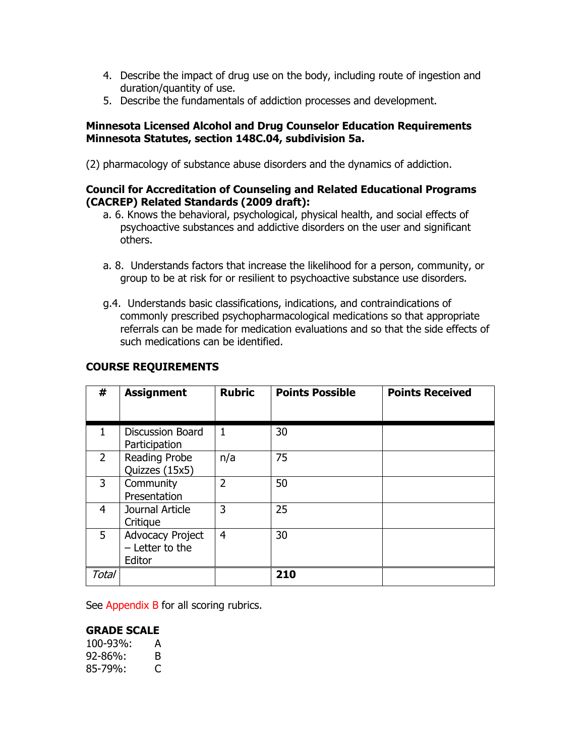- 4. Describe the impact of drug use on the body, including route of ingestion and duration/quantity of use.
- 5. Describe the fundamentals of addiction processes and development.

### **Minnesota Licensed Alcohol and Drug Counselor Education Requirements Minnesota Statutes, section 148C.04, subdivision 5a.**

(2) pharmacology of substance abuse disorders and the dynamics of addiction.

#### **Council for Accreditation of Counseling and Related Educational Programs (CACREP) Related Standards (2009 draft):**

- a. 6. Knows the behavioral, psychological, physical health, and social effects of psychoactive substances and addictive disorders on the user and significant others.
- a. 8. Understands factors that increase the likelihood for a person, community, or group to be at risk for or resilient to psychoactive substance use disorders.
- g.4. Understands basic classifications, indications, and contraindications of commonly prescribed psychopharmacological medications so that appropriate referrals can be made for medication evaluations and so that the side effects of such medications can be identified.

| #              | <b>Assignment</b>                                      | <b>Rubric</b>  | <b>Points Possible</b> | <b>Points Received</b> |
|----------------|--------------------------------------------------------|----------------|------------------------|------------------------|
| 1.             | <b>Discussion Board</b><br>Participation               | 1              | 30                     |                        |
| $\overline{2}$ | Reading Probe<br>Quizzes (15x5)                        | n/a            | 75                     |                        |
| 3              | Community<br>Presentation                              | $\overline{2}$ | 50                     |                        |
| 4              | Journal Article<br>Critique                            | 3              | 25                     |                        |
| 5              | <b>Advocacy Project</b><br>$-$ Letter to the<br>Editor | $\overline{4}$ | 30                     |                        |
| Total          |                                                        |                | 210                    |                        |

#### **COURSE REQUIREMENTS**

See Appendix B for all scoring rubrics.

# **GRADE SCALE**

| 100-93%:      | А |
|---------------|---|
| 92-86%:       | B |
| $85 - 79\%$ : | C |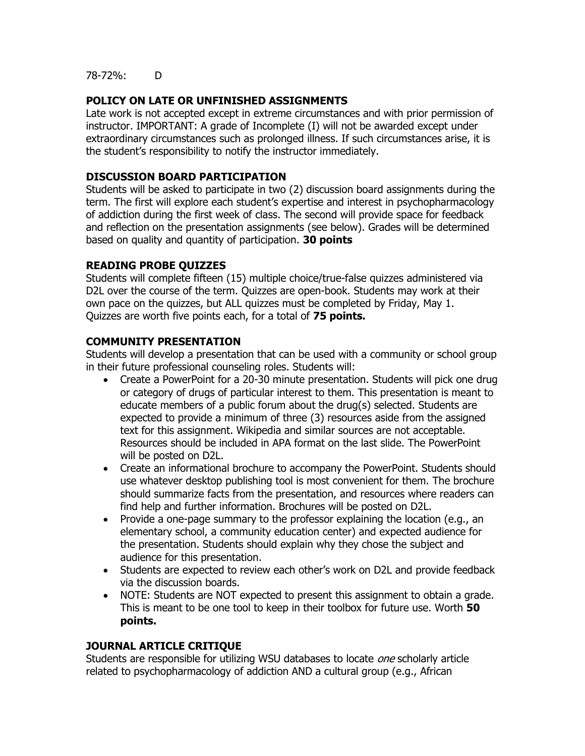78-72%: D

# **POLICY ON LATE OR UNFINISHED ASSIGNMENTS**

Late work is not accepted except in extreme circumstances and with prior permission of instructor. IMPORTANT: A grade of Incomplete (I) will not be awarded except under extraordinary circumstances such as prolonged illness. If such circumstances arise, it is the student's responsibility to notify the instructor immediately.

### **DISCUSSION BOARD PARTICIPATION**

Students will be asked to participate in two (2) discussion board assignments during the term. The first will explore each student's expertise and interest in psychopharmacology of addiction during the first week of class. The second will provide space for feedback and reflection on the presentation assignments (see below). Grades will be determined based on quality and quantity of participation. **30 points**

# **READING PROBE QUIZZES**

Students will complete fifteen (15) multiple choice/true-false quizzes administered via D2L over the course of the term. Quizzes are open-book. Students may work at their own pace on the quizzes, but ALL quizzes must be completed by Friday, May 1. Quizzes are worth five points each, for a total of **75 points.**

# **COMMUNITY PRESENTATION**

Students will develop a presentation that can be used with a community or school group in their future professional counseling roles. Students will:

- Create a PowerPoint for a 20-30 minute presentation. Students will pick one drug or category of drugs of particular interest to them. This presentation is meant to educate members of a public forum about the drug(s) selected. Students are expected to provide a minimum of three (3) resources aside from the assigned text for this assignment. Wikipedia and similar sources are not acceptable. Resources should be included in APA format on the last slide. The PowerPoint will be posted on D2L.
- Create an informational brochure to accompany the PowerPoint. Students should use whatever desktop publishing tool is most convenient for them. The brochure should summarize facts from the presentation, and resources where readers can find help and further information. Brochures will be posted on D2L.
- Provide a one-page summary to the professor explaining the location (e.g., an elementary school, a community education center) and expected audience for the presentation. Students should explain why they chose the subject and audience for this presentation.
- Students are expected to review each other's work on D2L and provide feedback via the discussion boards.
- NOTE: Students are NOT expected to present this assignment to obtain a grade. This is meant to be one tool to keep in their toolbox for future use. Worth **50 points.**

#### **JOURNAL ARTICLE CRITIQUE**

Students are responsible for utilizing WSU databases to locate *one* scholarly article related to psychopharmacology of addiction AND a cultural group (e.g., African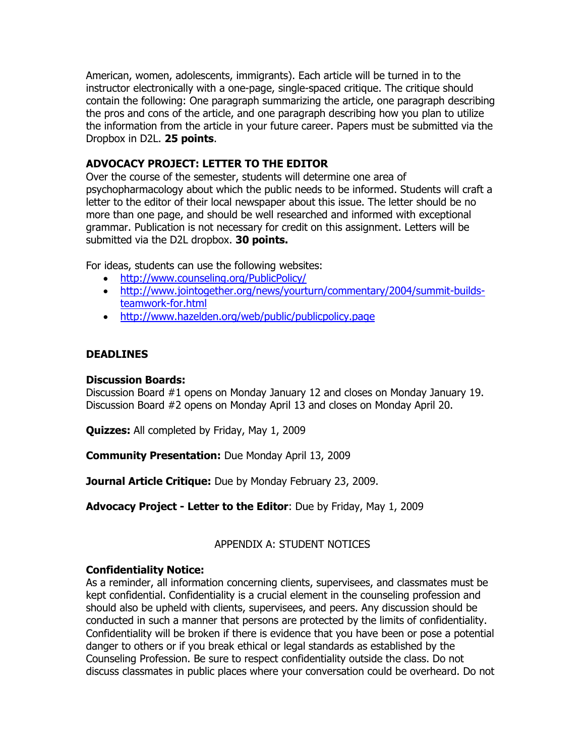American, women, adolescents, immigrants). Each article will be turned in to the instructor electronically with a one-page, single-spaced critique. The critique should contain the following: One paragraph summarizing the article, one paragraph describing the pros and cons of the article, and one paragraph describing how you plan to utilize the information from the article in your future career. Papers must be submitted via the Dropbox in D2L. **25 points**.

# **ADVOCACY PROJECT: LETTER TO THE EDITOR**

Over the course of the semester, students will determine one area of psychopharmacology about which the public needs to be informed. Students will craft a letter to the editor of their local newspaper about this issue. The letter should be no more than one page, and should be well researched and informed with exceptional grammar. Publication is not necessary for credit on this assignment. Letters will be submitted via the D2L dropbox. **30 points.**

For ideas, students can use the following websites:

- <http://www.counseling.org/PublicPolicy/>
- [http://www.jointogether.org/news/yourturn/commentary/2004/summit-builds](http://www.jointogether.org/news/yourturn/commentary/2004/summit-builds-teamwork-for.html)[teamwork-for.html](http://www.jointogether.org/news/yourturn/commentary/2004/summit-builds-teamwork-for.html)
- <http://www.hazelden.org/web/public/publicpolicy.page>

# **DEADLINES**

#### **Discussion Boards:**

Discussion Board #1 opens on Monday January 12 and closes on Monday January 19. Discussion Board #2 opens on Monday April 13 and closes on Monday April 20.

**Quizzes:** All completed by Friday, May 1, 2009

**Community Presentation:** Due Monday April 13, 2009

**Journal Article Critique:** Due by Monday February 23, 2009.

**Advocacy Project - Letter to the Editor**: Due by Friday, May 1, 2009

# APPENDIX A: STUDENT NOTICES

#### **Confidentiality Notice:**

As a reminder, all information concerning clients, supervisees, and classmates must be kept confidential. Confidentiality is a crucial element in the counseling profession and should also be upheld with clients, supervisees, and peers. Any discussion should be conducted in such a manner that persons are protected by the limits of confidentiality. Confidentiality will be broken if there is evidence that you have been or pose a potential danger to others or if you break ethical or legal standards as established by the Counseling Profession. Be sure to respect confidentiality outside the class. Do not discuss classmates in public places where your conversation could be overheard. Do not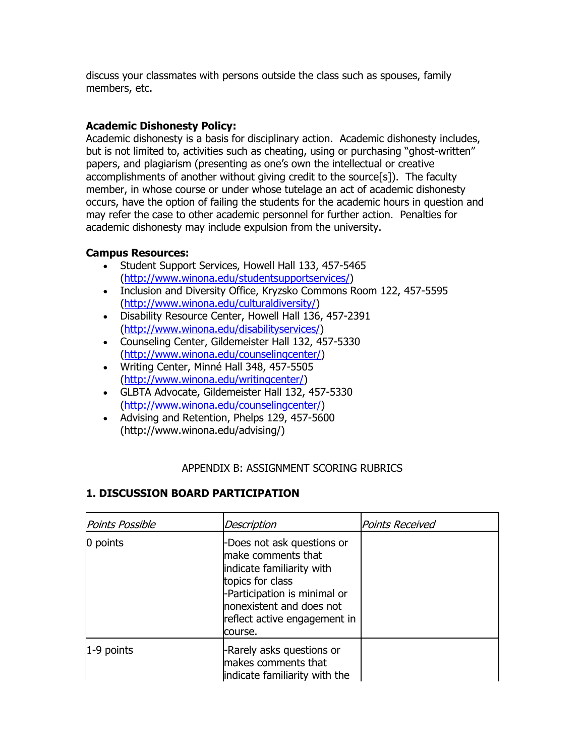discuss your classmates with persons outside the class such as spouses, family members, etc.

# **Academic Dishonesty Policy:**

Academic dishonesty is a basis for disciplinary action. Academic dishonesty includes, but is not limited to, activities such as cheating, using or purchasing "ghost-written" papers, and plagiarism (presenting as one's own the intellectual or creative accomplishments of another without giving credit to the source[s]). The faculty member, in whose course or under whose tutelage an act of academic dishonesty occurs, have the option of failing the students for the academic hours in question and may refer the case to other academic personnel for further action. Penalties for academic dishonesty may include expulsion from the university.

# **Campus Resources:**

- Student Support Services, Howell Hall 133, 457-5465 [\(http://www.winona.edu/studentsupportservices/\)](http://www.winona.edu/studentsupportservices/)
- Inclusion and Diversity Office, Kryzsko Commons Room 122, 457-5595 [\(http://www.winona.edu/culturaldiversity/\)](http://www.winona.edu/culturaldiversity/)
- Disability Resource Center, Howell Hall 136, 457-2391 [\(http://www.winona.edu/disabilityservices/\)](http://www.winona.edu/disabilityservices/)
- Counseling Center, Gildemeister Hall 132, 457-5330 [\(http://www.winona.edu/counselingcenter/\)](http://www.winona.edu/counselingcenter/)
- Writing Center, Minné Hall 348, 457-5505 [\(http://www.winona.edu/writingcenter/\)](http://www.winona.edu/writingcenter/)
- GLBTA Advocate, Gildemeister Hall 132, 457-5330 [\(http://www.winona.edu/counselingcenter/\)](http://www.winona.edu/counselingcenter/)
- Advising and Retention, Phelps 129, 457-5600 (http://www.winona.edu/advising/)

# APPENDIX B: ASSIGNMENT SCORING RUBRICS

### **1. DISCUSSION BOARD PARTICIPATION**

| <b>Points Possible</b> | Description                                                                                                                                                                                              | Points Received |
|------------------------|----------------------------------------------------------------------------------------------------------------------------------------------------------------------------------------------------------|-----------------|
| 0 points               | -Does not ask questions or<br>make comments that<br>indicate familiarity with<br>topics for class<br>-Participation is minimal or<br>nonexistent and does not<br>reflect active engagement in<br>course. |                 |
| $1-9$ points           | -Rarely asks questions or<br>makes comments that<br>indicate familiarity with the                                                                                                                        |                 |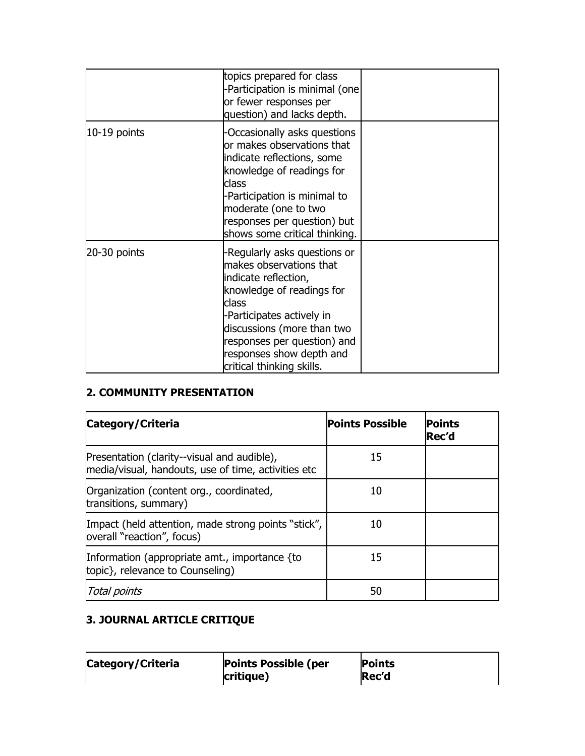|              | topics prepared for class<br>-Participation is minimal (one)<br>or fewer responses per<br>question) and lacks depth.                                                                                                                                                    |  |
|--------------|-------------------------------------------------------------------------------------------------------------------------------------------------------------------------------------------------------------------------------------------------------------------------|--|
| 10-19 points | -Occasionally asks questions<br>or makes observations that<br>indicate reflections, some<br>knowledge of readings for<br>class<br>-Participation is minimal to<br>moderate (one to two<br>responses per question) but<br>shows some critical thinking.                  |  |
| 20-30 points | Regularly asks questions or<br>makes observations that<br>indicate reflection,<br>knowledge of readings for<br>class<br>-Participates actively in<br>discussions (more than two<br>responses per question) and<br>responses show depth and<br>critical thinking skills. |  |

# **2. COMMUNITY PRESENTATION**

| Category/Criteria                                                                                  | <b>Points Possible</b> | <b>Points</b><br>Rec'd |
|----------------------------------------------------------------------------------------------------|------------------------|------------------------|
| Presentation (clarity--visual and audible),<br>media/visual, handouts, use of time, activities etc | 15                     |                        |
| Organization (content org., coordinated,<br>transitions, summary)                                  | 10                     |                        |
| Impact (held attention, made strong points "stick",<br>overall "reaction", focus)                  | 10                     |                        |
| Information (appropriate amt., importance {to<br>topic}, relevance to Counseling)                  | 15                     |                        |
| <b>Total points</b>                                                                                | 50                     |                        |

# **3. JOURNAL ARTICLE CRITIQUE**

| Category/Criteria | <b>Points Possible (per</b> | <b>Points</b> |
|-------------------|-----------------------------|---------------|
|                   | critique)                   | Rec'd         |